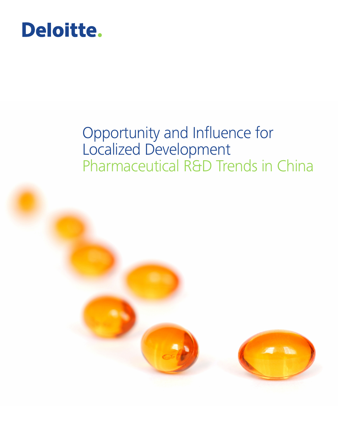# Deloitte.

### Opportunity and Influence for Localized Development Pharmaceutical R&D Trends in China

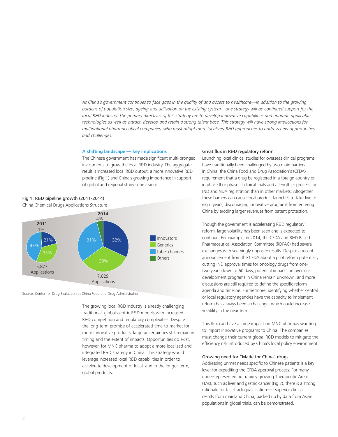*As China's government continues to face gaps in the quality of and access to healthcare—in addition to the growing burdens of population size, ageing and utilization on the existing system—one strategy will be continued support for the local R&D industry. The primary directives of this strategy are to develop innovative capabilities and upgrade applicable technologies as well as attract, develop and retain a strong talent base. This strategy will have strong implications for multinational pharmaceutical companies, who must adopt more localized R&D approaches to address new opportunities and challenges.*

#### **A shifting landscape — key implications**

The Chinese government has made significant multi-pronged investments to grow the local R&D industry. The aggregate result is increased local R&D output, a more innovative R&D pipeline (Fig 1) and China's growing importance in support of global and regional study submissions.



Source: Center for Drug Evaluation at China Food and Drug Administration

The growing local R&D industry is already challenging traditional, global-centric R&D models with increased R&D competition and regulatory complexities. Despite the long-term promise of accelerated time-to-market for more innovative products, large uncertainties still remain in timing and the extent of impacts. Opportunities do exist, however, for MNC pharma to adopt a more localized and integrated R&D strategy in China. This strategy would leverage increased local R&D capabilities in order to accelerate development of local, and in the longer-term, global products.

#### Great flux in R&D regulatory reform

Launching local clinical studies for overseas clinical programs have traditionally been challenged by two main barriers in China: the China Food and Drug Association's (CFDA) requirement that a drug be registered in a foreign country or in phase II or phase III clinical trials and a lengthier process for IND and NDA registration than in other markets. Altogether, these barriers can cause local product launches to take five to eight years, discouraging innovative programs from entering China by eroding larger revenues from patent protection.

Though the government is accelerating R&D regulatory reform, large volatility has been seen and is expected to continue. For example, in 2014, the CFDA and R&D Based Pharmaceutical Association Committee (RDPAC) had several exchanges with seemingly opposite results. Despite a recent announcement from the CFDA about a pilot reform potentially cutting IND approval times for oncology drugs from onetwo years down to 60 days, potential impacts on overseas development programs in China remain unknown, and more discussions are still required to define the specific reform agenda and timeline. Furthermore, identifying whether central or local regulatory agencies have the capacity to implement reform has always been a challenge, which could increase volatility in the near term.

This flux can have a large impact on MNC pharmas wanting to import innovative programs to China. The companies must change their current global R&D models to mitigate the efficiency risk introduced by China's local policy environment.

#### Growing need for "Made for China" drugs

Addressing unmet needs specific to Chinese patients is a key lever for expediting the CFDA approval process. For many under-represented but rapidly growing Therapeutic Areas (TAs), such as liver and gastric cancer (Fig 2), there is a strong rationale for fast-track qualification—if superior clinical results from mainland China, backed up by data from Asian populations in global trials, can be demonstrated.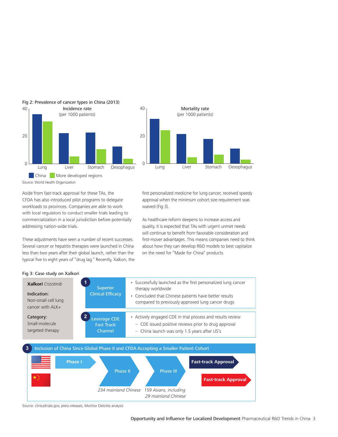



Fig 2: Prevalence of cancer types in China (2013)

Source: World Health Organization

Aside from fast-track approval for these TAs, the CFDA has also introduced pilot programs to delegate workloads to provinces. Companies are able to work with local regulators to conduct smaller trials leading to commercialization in a local jurisdiction before potentially addressing nation-wide trials.

These adjustments have seen a number of recent successes. Several cancer or hepatitis therapies were launched in China less than two years after their global launch, rather than the typical five to eight years of "drug lag." Recently, Xalkori, the first personalized medicine for lung cancer, received speedy approval when the minimum cohort size requirement was waived (Fig 3).

As healthcare reform deepens to increase access and quality, it is expected that TAs with urgent unmet needs will continue to benefit from favorable consideration and first-mover advantages. This means companies need to think about how they can develop R&D models to best capitalize on the need for "Made for China" products.



Fig 3: Case study on Xalkori

Source: clinicaltrials.gov, press releases, Monitor Deloitte analysis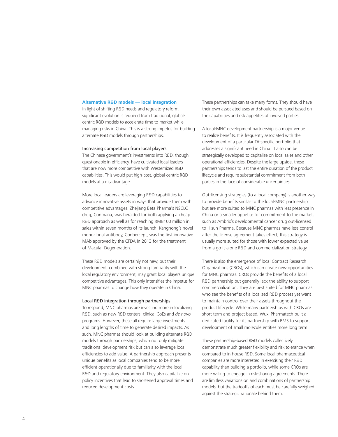#### **Alternative R&D models — local integration**

In light of shifting R&D needs and regulatory reform, significant evolution is required from traditional, globalcentric R&D models to accelerate time to market while managing risks in China. This is a strong impetus for building alternate R&D models through partnerships.

#### Increasing competition from local players

The Chinese government's investments into R&D, though questionable in efficiency, have cultivated local leaders that are now more competitive with Westernized R&D capabilities. This would put high-cost, global-centric R&D models at a disadvantage.

More local leaders are leveraging R&D capabilities to advance innovative assets in ways that provide them with competitive advantages. Zhejiang Beta Pharma's NSCLC drug, Conmana, was heralded for both applying a cheap R&D approach as well as for reaching RMB100 million in sales within seven months of its launch. Kanghong's novel monoclonal antibody, Conbercept, was the first innovative MAb approved by the CFDA in 2013 for the treatment of Macular Degeneration.

These R&D models are certainly not new, but their development, combined with strong familiarity with the local regulatory environment, may grant local players unique competitive advantages. This only intensifies the impetus for MNC pharmas to change how they operate in China.

#### Local R&D integration through partnerships

To respond, MNC pharmas are investing more in localizing R&D, such as new R&D centers, clinical CoEs and *de novo* programs. However, these all require large investments and long lengths of time to generate desired impacts. As such, MNC pharmas should look at building alternate R&D models through partnerships, which not only mitigate traditional development risk but can also leverage local efficiencies to add value. A partnership approach presents unique benefits as local companies tend to be more efficient operationally due to familiarity with the local R&D and regulatory environment. They also capitalize on policy incentives that lead to shortened approval times and reduced development costs.

These partnerships can take many forms. They should have their own associated uses and should be pursued based on the capabilities and risk appetites of involved parties.

A local-MNC development partnership is a major venue to realize benefits. It is frequently associated with the development of a particular TA-specific portfolio that addresses a significant need in China. It also can be strategically developed to capitalize on local sales and other operational efficiencies. Despite the large upside, these partnerships tends to last the entire duration of the product lifecycle and require substantial commitment from both parties in the face of considerable uncertainties.

Out-licensing strategies (to a local company) is another way to provide benefits similar to the local-MNC partnership but are more suited to MNC pharmas with less presence in China or a smaller appetite for commitment to the market, such as Ambrix's developmental cancer drug out-licensed to Hisun Pharma. Because MNC pharmas have less control after the license agreement takes effect, this strategy is usually more suited for those with lower expected value from a go-it-alone R&D and commercialization strategy.

There is also the emergence of local Contract Research Organizations (CROs), which can create new opportunities for MNC pharmas. CROs provide the benefits of a local R&D partnership but generally lack the ability to support commercialization. They are best suited for MNC pharmas who see the benefits of a localized R&D process yet want to maintain control over their assets throughout the product lifecycle. While many partnerships with CROs are short term and project based, Wuxi Pharmatech built a dedicated facility for its partnership with BMS to support development of small molecule entities more long term.

These partnership-based R&D models collectively demonstrate much greater flexibility and risk tolerance when compared to in-house R&D. Some local pharmaceutical companies are more interested in exercising their R&D capability than building a portfolio, while some CROs are more willing to engage in risk-sharing agreements. There are limitless variations on and combinations of partnership models, but the tradeoffs of each must be carefully weighed against the strategic rationale behind them.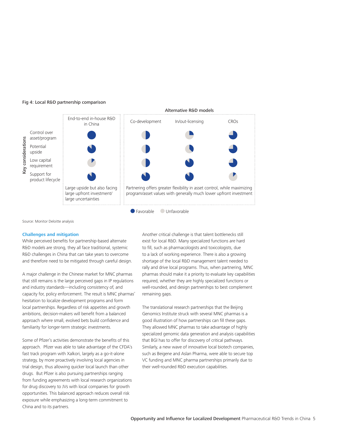

#### Fig 4: Local R&D partnership comparison

Source: Monitor Deloitte analysis

#### **Challenges and mitigation**

While perceived benefits for partnership-based alternate R&D models are strong, they all face traditional, systemic R&D challenges in China that can take years to overcome and therefore need to be mitigated through careful design.

A major challenge in the Chinese market for MNC pharmas that still remains is the large perceived gaps in IP regulations and industry standards—including consistency of, and capacity for, policy enforcement. The result is MNC pharmas' hesitation to localize development programs and form local partnerships. Regardless of risk appetites and growth ambitions, decision-makers will benefit from a balanced approach where small, evolved bets build confidence and familiarity for longer-term strategic investments.

Some of Pfizer's activities demonstrate the benefits of this approach. Pfizer was able to take advantage of the CFDA's fast track program with Xalkori, largely as a go-it-alone strategy, by more proactively involving local agencies in trial design, thus allowing quicker local launch than other drugs. But Pfizer is also pursuing partnerships ranging from funding agreements with local research organizations for drug discovery to JVs with local companies for growth opportunities. This balanced approach reduces overall risk exposure while emphasizing a long-term commitment to China and to its partners.

Another critical challenge is that talent bottlenecks still exist for local R&D. Many specialized functions are hard to fill, such as pharmacologists and toxicologists, due to a lack of working experience. There is also a growing shortage of the local R&D management talent needed to rally and drive local programs. Thus, when partnering, MNC pharmas should make it a priority to evaluate key capabilities required, whether they are highly specialized functions or well-rounded, and design partnerships to best complement remaining gaps.

The translational research partnerships that the Beijing Genomics Institute struck with several MNC pharmas is a good illustration of how partnerships can fill these gaps. They allowed MNC pharmas to take advantage of highly specialized genomic data generation and analysis capabilities that BGI has to offer for discovery of critical pathways. Similarly, a new wave of innovative local biotech companies, such as Beigene and Aslan Pharma, were able to secure top VC funding and MNC pharma partnerships primarily due to their well-rounded R&D execution capabilities.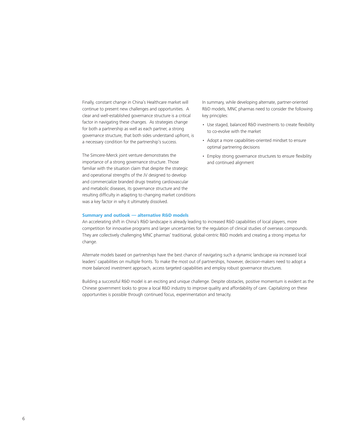Finally, constant change in China's Healthcare market will continue to present new challenges and opportunities. A clear and well-established governance structure is a critical factor in navigating these changes. As strategies change for both a partnership as well as each partner, a strong governance structure, that both sides understand upfront, is a necessary condition for the partnership's success.

The Simcere-Merck joint venture demonstrates the importance of a strong governance structure. Those familiar with the situation claim that despite the strategic and operational strengths of the JV designed to develop and commercialize branded drugs treating cardiovascular and metabolic diseases, its governance structure and the resulting difficulty in adapting to changing market conditions was a key factor in why it ultimately dissolved.

In summary, while developing alternate, partner-oriented R&D models, MNC pharmas need to consider the following key principles:

- Use staged, balanced R&D investments to create flexibility to co-evolve with the market
- Adopt a more capabilities-oriented mindset to ensure optimal partnering decisions
- Employ strong governance structures to ensure flexibility and continued alignment

#### **Summary and outlook — alternative R&D models**

An accelerating shift in China's R&D landscape is already leading to increased R&D capabilities of local players, more competition for innovative programs and larger uncertainties for the regulation of clinical studies of overseas compounds. They are collectively challenging MNC pharmas' traditional, global-centric R&D models and creating a strong impetus for change.

Alternate models based on partnerships have the best chance of navigating such a dynamic landscape via increased local leaders' capabilities on multiple fronts. To make the most out of partnerships, however, decision-makers need to adopt a more balanced investment approach, access targeted capabilities and employ robust governance structures.

Building a successful R&D model is an exciting and unique challenge. Despite obstacles, positive momentum is evident as the Chinese government looks to grow a local R&D industry to improve quality and affordability of care. Capitalizing on these opportunities is possible through continued focus, experimentation and tenacity.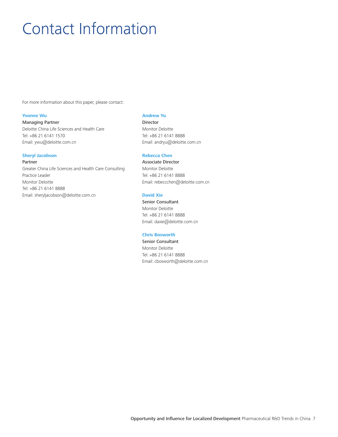## Contact Information

For more information about this paper, please contact:

#### **Yvonne Wu**

Managing Partner Deloitte China Life Sciences and Health Care Tel: +86 21 6141 1570 Email: ywu@deloitte.com.cn

#### **Sheryl Jacobson**

Partner Greater China Life Sciences and Health Care Consulting Practice Leader Monitor Deloitte Tel: +86 21 6141 8888 Email: sheryljacobson@deloitte.com.cn

#### **Andrew Yu**

Director Monitor Deloitte Tel: +86 21 6141 8888 Email: andryu@deloitte.com.cn

#### **Rebecca Chen**

Associate Director Monitor Deloitte Tel: +86 21 6141 8888 Email: rebeccchen@deloitte.com.cn

#### **David Xie**

Senior Consultant Monitor Deloitte Tel: +86 21 6141 8888 Email: daxie@deloitte.com.cn

#### **Chris Bosworth**

Senior Consultant Monitor Deloitte Tel: +86 21 6141 8888 Email: cbosworth@deloitte.com.cn